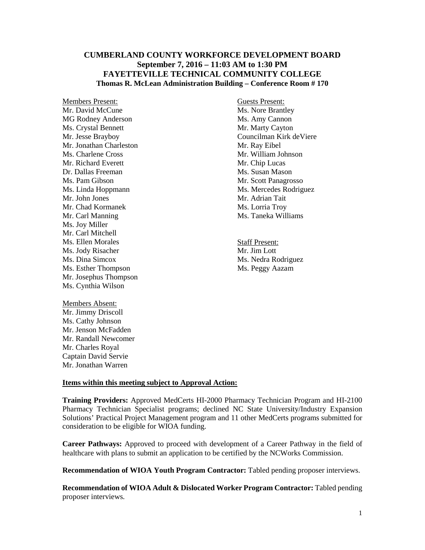## **CUMBERLAND COUNTY WORKFORCE DEVELOPMENT BOARD September 7, 2016 – 11:03 AM to 1:30 PM FAYETTEVILLE TECHNICAL COMMUNITY COLLEGE Thomas R. McLean Administration Building – Conference Room # 170**

Members Present: Guests Present: Mr. David McCune Ms. Nore Brantley<br>MG Rodney Anderson Ms. Amy Cannon MG Rodney Anderson Ms. Crystal Bennett Mr. Marty Cayton Mr. Jonathan Charleston Mr. Ray Eibel<br>
Ms. Charlene Cross Mr. William Jo Mr. Richard Everett Dr. Dallas Freeman Ms. Susan Mason Ms. Pam Gibson Mr. Scott Panagrosso Mr. John Jones Mr. Adrian Tait Mr. Chad Kormanek Ms. Lorria Troy Mr. Carl Manning Ms. Taneka Williams Ms. Joy Miller Mr. Carl Mitchell Ms. Ellen Morales<br>
Ms. Jody Risacher<br>
Ms. Jody Risacher<br>
Staff Present:<br>
Mr. Jim Lott Ms. Jody Risacher Ms. Dina Simcox Ms. Nedra Rodriguez Ms. Esther Thompson Ms. Peggy Aazam Mr. Josephus Thompson Ms. Cynthia Wilson

Members Absent: Mr. Jimmy Driscoll Ms. Cathy Johnson Mr. Jenson McFadden Mr. Randall Newcomer Mr. Charles Royal Captain David Servie Mr. Jonathan Warren

Mr. Jesse Brayboy Councilman Kirk deViere Mr. William Johnson<br>Mr. Chip Lucas Ms. Linda Hoppmann Ms. Mercedes Rodriguez

## **Items within this meeting subject to Approval Action:**

**Training Providers:** Approved MedCerts HI-2000 Pharmacy Technician Program and HI-2100 Pharmacy Technician Specialist programs; declined NC State University/Industry Expansion Solutions' Practical Project Management program and 11 other MedCerts programs submitted for consideration to be eligible for WIOA funding.

**Career Pathways:** Approved to proceed with development of a Career Pathway in the field of healthcare with plans to submit an application to be certified by the NCWorks Commission.

**Recommendation of WIOA Youth Program Contractor:** Tabled pending proposer interviews.

**Recommendation of WIOA Adult & Dislocated Worker Program Contractor:** Tabled pending proposer interviews.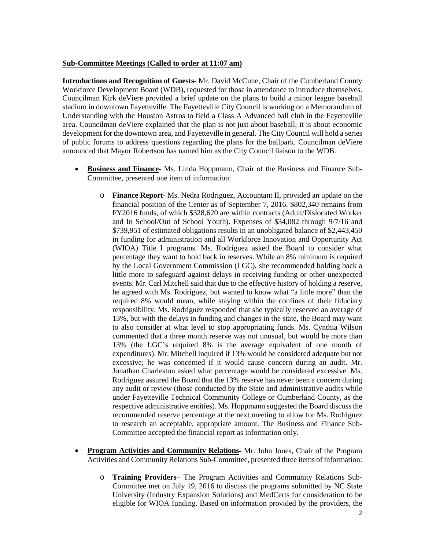## **Sub-Committee Meetings (Called to order at 11:07 am)**

**Introductions and Recognition of Guests-** Mr. David McCune, Chair of the Cumberland County Workforce Development Board (WDB), requested for those in attendance to introduce themselves. Councilman Kirk deViere provided a brief update on the plans to build a minor league baseball stadium in downtown Fayetteville. The Fayetteville City Council is working on a Memorandum of Understanding with the Houston Astros to field a Class A Advanced ball club in the Fayetteville area. Councilman deViere explained that the plan is not just about baseball; it is about economic development for the downtown area, and Fayetteville in general. The City Council will hold a series of public forums to address questions regarding the plans for the ballpark. Councilman deViere announced that Mayor Robertson has named him as the City Council liaison to the WDB.

- **Business and Finance-** Ms. Linda Hoppmann, Chair of the Business and Finance Sub-Committee, presented one item of information:
	- o **Finance Report** Ms. Nedra Rodriguez, Accountant II, provided an update on the financial position of the Center as of September 7, 2016. \$802,340 remains from FY2016 funds, of which \$328,620 are within contracts (Adult/Dislocated Worker and In School/Out of School Youth). Expenses of \$34,082 through 9/7/16 and \$739,951 of estimated obligations results in an unobligated balance of \$2,443,450 in funding for administration and all Workforce Innovation and Opportunity Act (WIOA) Title I programs. Ms. Rodriguez asked the Board to consider what percentage they want to hold back in reserves. While an 8% minimum is required by the Local Government Commission (LGC), she recommended holding back a little more to safeguard against delays in receiving funding or other unexpected events. Mr. Carl Mitchell said that due to the effective history of holding a reserve, he agreed with Ms. Rodriguez, but wanted to know what "a little more" than the required 8% would mean, while staying within the confines of their fiduciary responsibility. Ms. Rodriguez responded that she typically reserved an average of 13%, but with the delays in funding and changes in the state, the Board may want to also consider at what level to stop appropriating funds. Ms. Cynthia Wilson commented that a three month reserve was not unusual, but would be more than 13% (the LGC's required 8% is the average equivalent of one month of expenditures). Mr. Mitchell inquired if 13% would be considered adequate but not excessive; he was concerned if it would cause concern during an audit. Mr. Jonathan Charleston asked what percentage would be considered excessive. Ms. Rodriguez assured the Board that the 13% reserve has never been a concern during any audit or review (those conducted by the State and administrative audits while under Fayetteville Technical Community College or Cumberland County, as the respective administrative entities). Ms. Hoppmann suggested the Board discuss the recommended reserve percentage at the next meeting to allow for Ms. Rodriguez to research an acceptable, appropriate amount. The Business and Finance Sub-Committee accepted the financial report as information only.
- **Program Activities and Community Relations-** Mr. John Jones, Chair of the Program Activities and Community Relations Sub-Committee, presented three items of information:
	- o **Training Providers** The Program Activities and Community Relations Sub-Committee met on July 19, 2016 to discuss the programs submitted by NC State University (Industry Expansion Solutions) and MedCerts for consideration to be eligible for WIOA funding. Based on information provided by the providers, the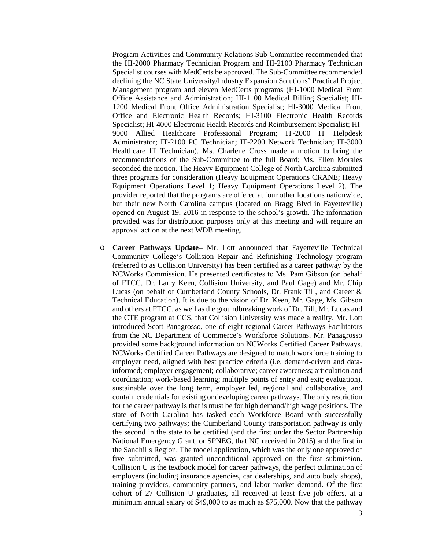Program Activities and Community Relations Sub-Committee recommended that the HI-2000 Pharmacy Technician Program and HI-2100 Pharmacy Technician Specialist courses with MedCerts be approved. The Sub-Committee recommended declining the NC State University/Industry Expansion Solutions' Practical Project Management program and eleven MedCerts programs (HI-1000 Medical Front Office Assistance and Administration; HI-1100 Medical Billing Specialist; HI-1200 Medical Front Office Administration Specialist; HI-3000 Medical Front Office and Electronic Health Records; HI-3100 Electronic Health Records Specialist; HI-4000 Electronic Health Records and Reimbursement Specialist; HI-9000 Allied Healthcare Professional Program; IT-2000 IT Helpdesk Administrator; IT-2100 PC Technician; IT-2200 Network Technician; IT-3000 Healthcare IT Technician). Ms. Charlene Cross made a motion to bring the recommendations of the Sub-Committee to the full Board; Ms. Ellen Morales seconded the motion. The Heavy Equipment College of North Carolina submitted three programs for consideration (Heavy Equipment Operations CRANE; Heavy Equipment Operations Level 1; Heavy Equipment Operations Level 2). The provider reported that the programs are offered at four other locations nationwide, but their new North Carolina campus (located on Bragg Blvd in Fayetteville) opened on August 19, 2016 in response to the school's growth. The information provided was for distribution purposes only at this meeting and will require an approval action at the next WDB meeting.

o **Career Pathways Update**– Mr. Lott announced that Fayetteville Technical Community College's Collision Repair and Refinishing Technology program (referred to as Collision University) has been certified as a career pathway by the NCWorks Commission. He presented certificates to Ms. Pam Gibson (on behalf of FTCC, Dr. Larry Keen, Collision University, and Paul Gage) and Mr. Chip Lucas (on behalf of Cumberland County Schools, Dr. Frank Till, and Career & Technical Education). It is due to the vision of Dr. Keen, Mr. Gage, Ms. Gibson and others at FTCC, as well as the groundbreaking work of Dr. Till, Mr. Lucas and the CTE program at CCS, that Collision University was made a reality. Mr. Lott introduced Scott Panagrosso, one of eight regional Career Pathways Facilitators from the NC Department of Commerce's Workforce Solutions. Mr. Panagrosso provided some background information on NCWorks Certified Career Pathways. NCWorks Certified Career Pathways are designed to match workforce training to employer need, aligned with best practice criteria (i.e. demand-driven and datainformed; employer engagement; collaborative; career awareness; articulation and coordination; work-based learning; multiple points of entry and exit; evaluation), sustainable over the long term, employer led, regional and collaborative, and contain credentials for existing or developing career pathways. The only restriction for the career pathway is that is must be for high demand/high wage positions. The state of North Carolina has tasked each Workforce Board with successfully certifying two pathways; the Cumberland County transportation pathway is only the second in the state to be certified (and the first under the Sector Partnership National Emergency Grant, or SPNEG, that NC received in 2015) and the first in the Sandhills Region. The model application, which was the only one approved of five submitted, was granted unconditional approved on the first submission. Collision U is the textbook model for career pathways, the perfect culmination of employers (including insurance agencies, car dealerships, and auto body shops), training providers, community partners, and labor market demand. Of the first cohort of 27 Collision U graduates, all received at least five job offers, at a minimum annual salary of \$49,000 to as much as \$75,000. Now that the pathway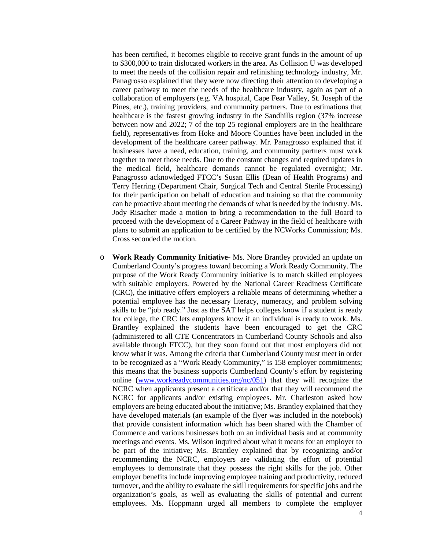has been certified, it becomes eligible to receive grant funds in the amount of up to \$300,000 to train dislocated workers in the area. As Collision U was developed to meet the needs of the collision repair and refinishing technology industry, Mr. Panagrosso explained that they were now directing their attention to developing a career pathway to meet the needs of the healthcare industry, again as part of a collaboration of employers (e.g. VA hospital, Cape Fear Valley, St. Joseph of the Pines, etc.), training providers, and community partners. Due to estimations that healthcare is the fastest growing industry in the Sandhills region (37% increase between now and 2022; 7 of the top 25 regional employers are in the healthcare field), representatives from Hoke and Moore Counties have been included in the development of the healthcare career pathway. Mr. Panagrosso explained that if businesses have a need, education, training, and community partners must work together to meet those needs. Due to the constant changes and required updates in the medical field, healthcare demands cannot be regulated overnight; Mr. Panagrosso acknowledged FTCC's Susan Ellis (Dean of Health Programs) and Terry Herring (Department Chair, Surgical Tech and Central Sterile Processing) for their participation on behalf of education and training so that the community can be proactive about meeting the demands of what is needed by the industry. Ms. Jody Risacher made a motion to bring a recommendation to the full Board to proceed with the development of a Career Pathway in the field of healthcare with plans to submit an application to be certified by the NCWorks Commission; Ms. Cross seconded the motion.

o **Work Ready Community Initiative-** Ms. Nore Brantley provided an update on Cumberland County's progress toward becoming a Work Ready Community. The purpose of the Work Ready Community initiative is to match skilled employees with suitable employers. Powered by the National Career Readiness Certificate (CRC), the initiative offers employers a reliable means of determining whether a potential employee has the necessary literacy, numeracy, and problem solving skills to be "job ready." Just as the SAT helps colleges know if a student is ready for college, the CRC lets employers know if an individual is ready to work. Ms. Brantley explained the students have been encouraged to get the CRC (administered to all CTE Concentrators in Cumberland County Schools and also available through FTCC), but they soon found out that most employers did not know what it was. Among the criteria that Cumberland County must meet in order to be recognized as a "Work Ready Community," is 158 employer commitments; this means that the business supports Cumberland County's effort by registering online [\(www.workreadycommunities.org/nc/051\)](http://www.workreadycommunities.org/nc/051) that they will recognize the NCRC when applicants present a certificate and/or that they will recommend the NCRC for applicants and/or existing employees. Mr. Charleston asked how employers are being educated about the initiative; Ms. Brantley explained that they have developed materials (an example of the flyer was included in the notebook) that provide consistent information which has been shared with the Chamber of Commerce and various businesses both on an individual basis and at community meetings and events. Ms. Wilson inquired about what it means for an employer to be part of the initiative; Ms. Brantley explained that by recognizing and/or recommending the NCRC, employers are validating the effort of potential employees to demonstrate that they possess the right skills for the job. Other employer benefits include improving employee training and productivity, reduced turnover, and the ability to evaluate the skill requirements for specific jobs and the organization's goals, as well as evaluating the skills of potential and current employees. Ms. Hoppmann urged all members to complete the employer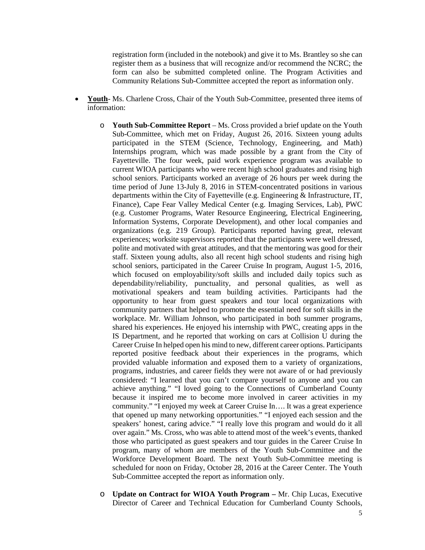registration form (included in the notebook) and give it to Ms. Brantley so she can register them as a business that will recognize and/or recommend the NCRC; the form can also be submitted completed online. The Program Activities and Community Relations Sub-Committee accepted the report as information only.

- **Youth** Ms. Charlene Cross, Chair of the Youth Sub-Committee, presented three items of information:
	- o **Youth Sub-Committee Report** Ms. Cross provided a brief update on the Youth Sub-Committee, which met on Friday, August 26, 2016. Sixteen young adults participated in the STEM (Science, Technology, Engineering, and Math) Internships program, which was made possible by a grant from the City of Fayetteville. The four week, paid work experience program was available to current WIOA participants who were recent high school graduates and rising high school seniors. Participants worked an average of 26 hours per week during the time period of June 13-July 8, 2016 in STEM-concentrated positions in various departments within the City of Fayetteville (e.g. Engineering & Infrastructure, IT, Finance), Cape Fear Valley Medical Center (e.g. Imaging Services, Lab), PWC (e.g. Customer Programs, Water Resource Engineering, Electrical Engineering, Information Systems, Corporate Development), and other local companies and organizations (e.g. 219 Group). Participants reported having great, relevant experiences; worksite supervisors reported that the participants were well dressed, polite and motivated with great attitudes, and that the mentoring was good for their staff. Sixteen young adults, also all recent high school students and rising high school seniors, participated in the Career Cruise In program, August 1-5, 2016, which focused on employability/soft skills and included daily topics such as dependability/reliability, punctuality, and personal qualities, as well as motivational speakers and team building activities. Participants had the opportunity to hear from guest speakers and tour local organizations with community partners that helped to promote the essential need for soft skills in the workplace. Mr. William Johnson, who participated in both summer programs, shared his experiences. He enjoyed his internship with PWC, creating apps in the IS Department, and he reported that working on cars at Collision U during the Career Cruise In helped open his mind to new, different career options. Participants reported positive feedback about their experiences in the programs, which provided valuable information and exposed them to a variety of organizations, programs, industries, and career fields they were not aware of or had previously considered: "I learned that you can't compare yourself to anyone and you can achieve anything." "I loved going to the Connections of Cumberland County because it inspired me to become more involved in career activities in my community." "I enjoyed my week at Career Cruise In…. It was a great experience that opened up many networking opportunities." "I enjoyed each session and the speakers' honest, caring advice." "I really love this program and would do it all over again." Ms. Cross, who was able to attend most of the week's events, thanked those who participated as guest speakers and tour guides in the Career Cruise In program, many of whom are members of the Youth Sub-Committee and the Workforce Development Board. The next Youth Sub-Committee meeting is scheduled for noon on Friday, October 28, 2016 at the Career Center. The Youth Sub-Committee accepted the report as information only.
	- o **Update on Contract for WIOA Youth Program –** Mr. Chip Lucas, Executive Director of Career and Technical Education for Cumberland County Schools,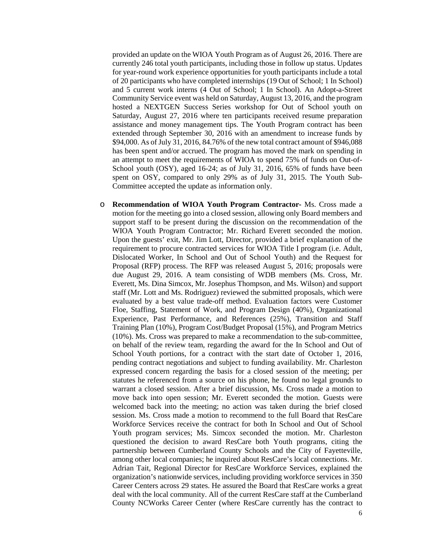provided an update on the WIOA Youth Program as of August 26, 2016. There are currently 246 total youth participants, including those in follow up status. Updates for year-round work experience opportunities for youth participants include a total of 20 participants who have completed internships (19 Out of School; 1 In School) and 5 current work interns (4 Out of School; 1 In School). An Adopt-a-Street Community Service event was held on Saturday, August 13, 2016, and the program hosted a NEXTGEN Success Series workshop for Out of School youth on Saturday, August 27, 2016 where ten participants received resume preparation assistance and money management tips. The Youth Program contract has been extended through September 30, 2016 with an amendment to increase funds by \$94,000. As of July 31, 2016, 84.76% of the new total contract amount of \$946,088 has been spent and/or accrued. The program has moved the mark on spending in an attempt to meet the requirements of WIOA to spend 75% of funds on Out-of-School youth (OSY), aged 16-24; as of July 31, 2016, 65% of funds have been spent on OSY, compared to only 29% as of July 31, 2015. The Youth Sub-Committee accepted the update as information only.

o **Recommendation of WIOA Youth Program Contractor-** Ms. Cross made a motion for the meeting go into a closed session, allowing only Board members and support staff to be present during the discussion on the recommendation of the WIOA Youth Program Contractor; Mr. Richard Everett seconded the motion. Upon the guests' exit, Mr. Jim Lott, Director, provided a brief explanation of the requirement to procure contracted services for WIOA Title I program (i.e. Adult, Dislocated Worker, In School and Out of School Youth) and the Request for Proposal (RFP) process. The RFP was released August 5, 2016; proposals were due August 29, 2016. A team consisting of WDB members (Ms. Cross, Mr. Everett, Ms. Dina Simcox, Mr. Josephus Thompson, and Ms. Wilson) and support staff (Mr. Lott and Ms. Rodriguez) reviewed the submitted proposals, which were evaluated by a best value trade-off method. Evaluation factors were Customer Floe, Staffing, Statement of Work, and Program Design (40%), Organizational Experience, Past Performance, and References (25%), Transition and Staff Training Plan (10%), Program Cost/Budget Proposal (15%), and Program Metrics (10%). Ms. Cross was prepared to make a recommendation to the sub-committee, on behalf of the review team, regarding the award for the In School and Out of School Youth portions, for a contract with the start date of October 1, 2016, pending contract negotiations and subject to funding availability. Mr. Charleston expressed concern regarding the basis for a closed session of the meeting; per statutes he referenced from a source on his phone, he found no legal grounds to warrant a closed session. After a brief discussion, Ms. Cross made a motion to move back into open session; Mr. Everett seconded the motion. Guests were welcomed back into the meeting; no action was taken during the brief closed session. Ms. Cross made a motion to recommend to the full Board that ResCare Workforce Services receive the contract for both In School and Out of School Youth program services; Ms. Simcox seconded the motion. Mr. Charleston questioned the decision to award ResCare both Youth programs, citing the partnership between Cumberland County Schools and the City of Fayetteville, among other local companies; he inquired about ResCare's local connections. Mr. Adrian Tait, Regional Director for ResCare Workforce Services, explained the organization's nationwide services, including providing workforce services in 350 Career Centers across 29 states. He assured the Board that ResCare works a great deal with the local community. All of the current ResCare staff at the Cumberland County NCWorks Career Center (where ResCare currently has the contract to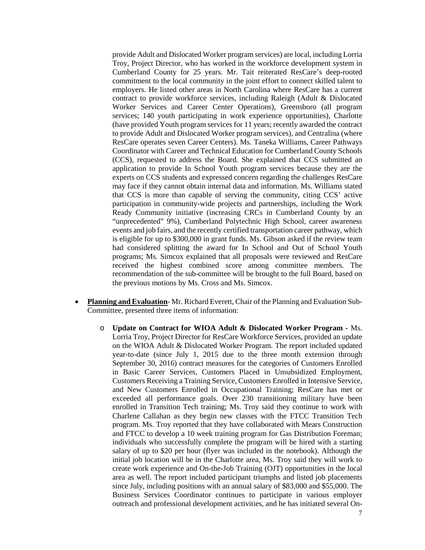provide Adult and Dislocated Worker program services) are local, including Lorria Troy, Project Director, who has worked in the workforce development system in Cumberland County for 25 years. Mr. Tait reiterated ResCare's deep-rooted commitment to the local community in the joint effort to connect skilled talent to employers. He listed other areas in North Carolina where ResCare has a current contract to provide workforce services, including Raleigh (Adult & Dislocated Worker Services and Career Center Operations), Greensboro (all program services; 140 youth participating in work experience opportunities), Charlotte (have provided Youth program services for 11 years; recently awarded the contract to provide Adult and Dislocated Worker program services), and Centralina (where ResCare operates seven Career Centers). Ms. Taneka Williams, Career Pathways Coordinator with Career and Technical Education for Cumberland County Schools (CCS), requested to address the Board. She explained that CCS submitted an application to provide In School Youth program services because they are the experts on CCS students and expressed concern regarding the challenges ResCare may face if they cannot obtain internal data and information. Ms. Williams stated that CCS is more than capable of serving the community, citing CCS' active participation in community-wide projects and partnerships, including the Work Ready Community initiative (increasing CRCs in Cumberland County by an "unprecedented" 9%), Cumberland Polytechnic High School, career awareness events and job fairs, and the recently certified transportation career pathway, which is eligible for up to \$300,000 in grant funds. Ms. Gibson asked if the review team had considered splitting the award for In School and Out of School Youth programs; Ms. Simcox explained that all proposals were reviewed and ResCare received the highest combined score among committee members. The recommendation of the sub-committee will be brought to the full Board, based on the previous motions by Ms. Cross and Ms. Simcox.

- **Planning and Evaluation** Mr. Richard Everett, Chair of the Planning and Evaluation Sub-Committee, presented three items of information:
	- o **Update on Contract for WIOA Adult & Dislocated Worker Program -** Ms. Lorria Troy, Project Director for ResCare Workforce Services, provided an update on the WIOA Adult & Dislocated Worker Program. The report included updated year-to-date (since July 1, 2015 due to the three month extension through September 30, 2016) contract measures for the categories of Customers Enrolled in Basic Career Services, Customers Placed in Unsubsidized Employment, Customers Receiving a Training Service, Customers Enrolled in Intensive Service, and New Customers Enrolled in Occupational Training; ResCare has met or exceeded all performance goals. Over 230 transitioning military have been enrolled in Transition Tech training; Ms. Troy said they continue to work with Charlene Callahan as they begin new classes with the FTCC Transition Tech program. Ms. Troy reported that they have collaborated with Mears Construction and FTCC to develop a 10 week training program for Gas Distribution Foreman; individuals who successfully complete the program will be hired with a starting salary of up to \$20 per hour (flyer was included in the notebook). Although the initial job location will be in the Charlotte area, Ms. Troy said they will work to create work experience and On-the-Job Training (OJT) opportunities in the local area as well. The report included participant triumphs and listed job placements since July, including positions with an annual salary of \$83,000 and \$55,000. The Business Services Coordinator continues to participate in various employer outreach and professional development activities, and he has initiated several On-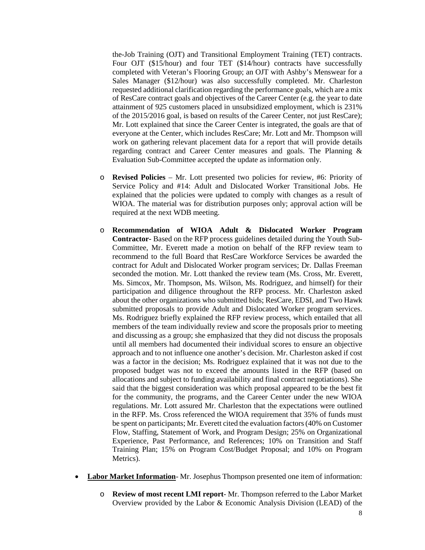the-Job Training (OJT) and Transitional Employment Training (TET) contracts. Four OJT (\$15/hour) and four TET (\$14/hour) contracts have successfully completed with Veteran's Flooring Group; an OJT with Ashby's Menswear for a Sales Manager (\$12/hour) was also successfully completed. Mr. Charleston requested additional clarification regarding the performance goals, which are a mix of ResCare contract goals and objectives of the Career Center (e.g. the year to date attainment of 925 customers placed in unsubsidized employment, which is 231% of the 2015/2016 goal, is based on results of the Career Center, not just ResCare); Mr. Lott explained that since the Career Center is integrated, the goals are that of everyone at the Center, which includes ResCare; Mr. Lott and Mr. Thompson will work on gathering relevant placement data for a report that will provide details regarding contract and Career Center measures and goals. The Planning & Evaluation Sub-Committee accepted the update as information only.

- o **Revised Policies** Mr. Lott presented two policies for review, #6: Priority of Service Policy and #14: Adult and Dislocated Worker Transitional Jobs. He explained that the policies were updated to comply with changes as a result of WIOA. The material was for distribution purposes only; approval action will be required at the next WDB meeting.
- o **Recommendation of WIOA Adult & Dislocated Worker Program Contractor-** Based on the RFP process guidelines detailed during the Youth Sub-Committee, Mr. Everett made a motion on behalf of the RFP review team to recommend to the full Board that ResCare Workforce Services be awarded the contract for Adult and Dislocated Worker program services; Dr. Dallas Freeman seconded the motion. Mr. Lott thanked the review team (Ms. Cross, Mr. Everett, Ms. Simcox, Mr. Thompson, Ms. Wilson, Ms. Rodriguez, and himself) for their participation and diligence throughout the RFP process. Mr. Charleston asked about the other organizations who submitted bids; ResCare, EDSI, and Two Hawk submitted proposals to provide Adult and Dislocated Worker program services. Ms. Rodriguez briefly explained the RFP review process, which entailed that all members of the team individually review and score the proposals prior to meeting and discussing as a group; she emphasized that they did not discuss the proposals until all members had documented their individual scores to ensure an objective approach and to not influence one another's decision. Mr. Charleston asked if cost was a factor in the decision; Ms. Rodriguez explained that it was not due to the proposed budget was not to exceed the amounts listed in the RFP (based on allocations and subject to funding availability and final contract negotiations). She said that the biggest consideration was which proposal appeared to be the best fit for the community, the programs, and the Career Center under the new WIOA regulations. Mr. Lott assured Mr. Charleston that the expectations were outlined in the RFP. Ms. Cross referenced the WIOA requirement that 35% of funds must be spent on participants; Mr. Everett cited the evaluation factors(40% on Customer Flow, Staffing, Statement of Work, and Program Design; 25% on Organizational Experience, Past Performance, and References; 10% on Transition and Staff Training Plan; 15% on Program Cost/Budget Proposal; and 10% on Program Metrics).
- **Labor Market Information** Mr. Josephus Thompson presented one item of information:
	- o **Review of most recent LMI report** Mr. Thompson referred to the Labor Market Overview provided by the Labor & Economic Analysis Division (LEAD) of the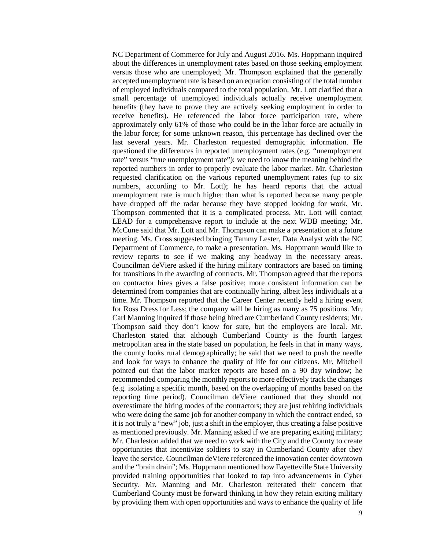NC Department of Commerce for July and August 2016. Ms. Hoppmann inquired about the differences in unemployment rates based on those seeking employment versus those who are unemployed; Mr. Thompson explained that the generally accepted unemployment rate is based on an equation consisting of the total number of employed individuals compared to the total population. Mr. Lott clarified that a small percentage of unemployed individuals actually receive unemployment benefits (they have to prove they are actively seeking employment in order to receive benefits). He referenced the labor force participation rate, where approximately only 61% of those who could be in the labor force are actually in the labor force; for some unknown reason, this percentage has declined over the last several years. Mr. Charleston requested demographic information. He questioned the differences in reported unemployment rates (e.g. "unemployment rate" versus "true unemployment rate"); we need to know the meaning behind the reported numbers in order to properly evaluate the labor market. Mr. Charleston requested clarification on the various reported unemployment rates (up to six numbers, according to Mr. Lott); he has heard reports that the actual unemployment rate is much higher than what is reported because many people have dropped off the radar because they have stopped looking for work. Mr. Thompson commented that it is a complicated process. Mr. Lott will contact LEAD for a comprehensive report to include at the next WDB meeting; Mr. McCune said that Mr. Lott and Mr. Thompson can make a presentation at a future meeting. Ms. Cross suggested bringing Tammy Lester, Data Analyst with the NC Department of Commerce, to make a presentation. Ms. Hoppmann would like to review reports to see if we making any headway in the necessary areas. Councilman deViere asked if the hiring military contractors are based on timing for transitions in the awarding of contracts. Mr. Thompson agreed that the reports on contractor hires gives a false positive; more consistent information can be determined from companies that are continually hiring, albeit less individuals at a time. Mr. Thompson reported that the Career Center recently held a hiring event for Ross Dress for Less; the company will be hiring as many as 75 positions. Mr. Carl Manning inquired if those being hired are Cumberland County residents; Mr. Thompson said they don't know for sure, but the employers are local. Mr. Charleston stated that although Cumberland County is the fourth largest metropolitan area in the state based on population, he feels in that in many ways, the county looks rural demographically; he said that we need to push the needle and look for ways to enhance the quality of life for our citizens. Mr. Mitchell pointed out that the labor market reports are based on a 90 day window; he recommended comparing the monthly reports to more effectively track the changes (e.g. isolating a specific month, based on the overlapping of months based on the reporting time period). Councilman deViere cautioned that they should not overestimate the hiring modes of the contractors; they are just rehiring individuals who were doing the same job for another company in which the contract ended, so it is not truly a "new" job, just a shift in the employer, thus creating a false positive as mentioned previously. Mr. Manning asked if we are preparing exiting military; Mr. Charleston added that we need to work with the City and the County to create opportunities that incentivize soldiers to stay in Cumberland County after they leave the service. Councilman deViere referenced the innovation center downtown and the "brain drain"; Ms. Hoppmann mentioned how Fayetteville State University provided training opportunities that looked to tap into advancements in Cyber Security. Mr. Manning and Mr. Charleston reiterated their concern that Cumberland County must be forward thinking in how they retain exiting military by providing them with open opportunities and ways to enhance the quality of life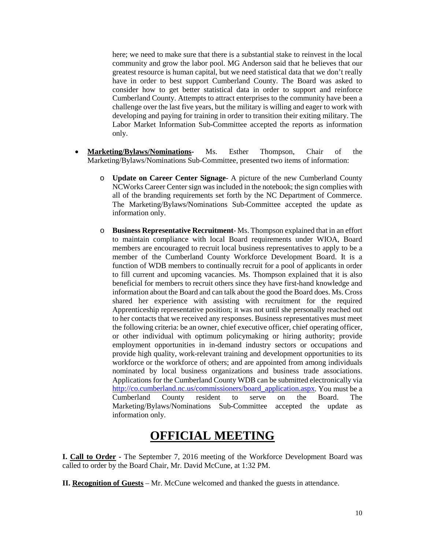here; we need to make sure that there is a substantial stake to reinvest in the local community and grow the labor pool. MG Anderson said that he believes that our greatest resource is human capital, but we need statistical data that we don't really have in order to best support Cumberland County. The Board was asked to consider how to get better statistical data in order to support and reinforce Cumberland County. Attempts to attract enterprises to the community have been a challenge over the last five years, but the military is willing and eager to work with developing and paying for training in order to transition their exiting military. The Labor Market Information Sub-Committee accepted the reports as information only.

- **Marketing/Bylaws/Nominations-** Ms. Esther Thompson, Chair of the Marketing/Bylaws/Nominations Sub-Committee, presented two items of information:
	- o **Update on Career Center Signage** A picture of the new Cumberland County NCWorks Career Center sign was included in the notebook; the sign complies with all of the branding requirements set forth by the NC Department of Commerce. The Marketing/Bylaws/Nominations Sub-Committee accepted the update as information only.
	- o **Business Representative Recruitment** Ms. Thompson explained that in an effort to maintain compliance with local Board requirements under WIOA, Board members are encouraged to recruit local business representatives to apply to be a member of the Cumberland County Workforce Development Board. It is a function of WDB members to continually recruit for a pool of applicants in order to fill current and upcoming vacancies. Ms. Thompson explained that it is also beneficial for members to recruit others since they have first-hand knowledge and information about the Board and can talk about the good the Board does. Ms. Cross shared her experience with assisting with recruitment for the required Apprenticeship representative position; it was not until she personally reached out to her contacts that we received any responses. Business representatives must meet the following criteria: be an owner, chief executive officer, chief operating officer, or other individual with optimum policymaking or hiring authority; provide employment opportunities in in-demand industry sectors or occupations and provide high quality, work-relevant training and development opportunities to its workforce or the workforce of others; and are appointed from among individuals nominated by local business organizations and business trade associations. Applications for the Cumberland County WDB can be submitted electronically via [http://co.cumberland.nc.us/commissioners/board\\_application.aspx.](http://co.cumberland.nc.us/commissioners/board_application.aspx) You must be a Cumberland County resident to serve on the Board. The Marketing/Bylaws/Nominations Sub-Committee accepted the update as information only.

## **OFFICIAL MEETING**

**I. Call to Order -** The September 7, 2016 meeting of the Workforce Development Board was called to order by the Board Chair, Mr. David McCune, at 1:32 PM.

**II. Recognition of Guests** – Mr. McCune welcomed and thanked the guests in attendance.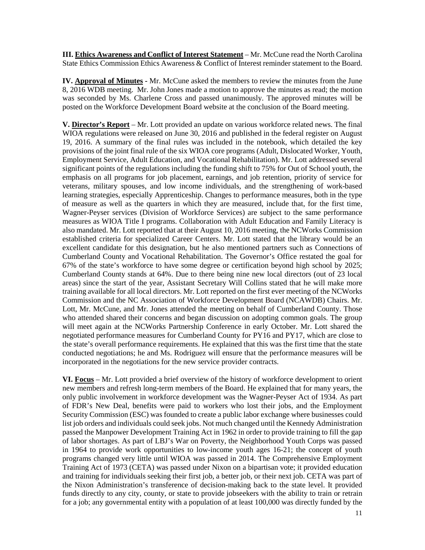**III. Ethics Awareness and Conflict of Interest Statement** – Mr. McCune read the North Carolina State Ethics Commission Ethics Awareness & Conflict of Interest reminder statement to the Board.

**IV. Approval of Minutes -** Mr. McCune asked the members to review the minutes from the June 8, 2016 WDB meeting. Mr. John Jones made a motion to approve the minutes as read; the motion was seconded by Ms. Charlene Cross and passed unanimously. The approved minutes will be posted on the Workforce Development Board website at the conclusion of the Board meeting.

**V. Director's Report** – Mr. Lott provided an update on various workforce related news. The final WIOA regulations were released on June 30, 2016 and published in the federal register on August 19, 2016. A summary of the final rules was included in the notebook, which detailed the key provisions of the joint final rule of the six WIOA core programs (Adult, Dislocated Worker, Youth, Employment Service, Adult Education, and Vocational Rehabilitation). Mr. Lott addressed several significant points of the regulations including the funding shift to 75% for Out of School youth, the emphasis on all programs for job placement, earnings, and job retention, priority of service for veterans, military spouses, and low income individuals, and the strengthening of work-based learning strategies, especially Apprenticeship. Changes to performance measures, both in the type of measure as well as the quarters in which they are measured, include that, for the first time, Wagner-Peyser services (Division of Workforce Services) are subject to the same performance measures as WIOA Title I programs. Collaboration with Adult Education and Family Literacy is also mandated. Mr. Lott reported that at their August 10, 2016 meeting, the NCWorks Commission established criteria for specialized Career Centers. Mr. Lott stated that the library would be an excellent candidate for this designation, but he also mentioned partners such as Connections of Cumberland County and Vocational Rehabilitation. The Governor's Office restated the goal for 67% of the state's workforce to have some degree or certification beyond high school by 2025; Cumberland County stands at 64%. Due to there being nine new local directors (out of 23 local areas) since the start of the year, Assistant Secretary Will Collins stated that he will make more training available for all local directors. Mr. Lott reported on the first ever meeting of the NCWorks Commission and the NC Association of Workforce Development Board (NCAWDB) Chairs. Mr. Lott, Mr. McCune, and Mr. Jones attended the meeting on behalf of Cumberland County. Those who attended shared their concerns and began discussion on adopting common goals. The group will meet again at the NCWorks Partnership Conference in early October. Mr. Lott shared the negotiated performance measures for Cumberland County for PY16 and PY17, which are close to the state's overall performance requirements. He explained that this was the first time that the state conducted negotiations; he and Ms. Rodriguez will ensure that the performance measures will be incorporated in the negotiations for the new service provider contracts.

**VI. Focus** – Mr. Lott provided a brief overview of the history of workforce development to orient new members and refresh long-term members of the Board. He explained that for many years, the only public involvement in workforce development was the Wagner-Peyser Act of 1934. As part of FDR's New Deal, benefits were paid to workers who lost their jobs, and the Employment Security Commission (ESC) was founded to create a public labor exchange where businesses could list job orders and individuals could seek jobs. Not much changed until the Kennedy Administration passed the Manpower Development Training Act in 1962 in order to provide training to fill the gap of labor shortages. As part of LBJ's War on Poverty, the Neighborhood Youth Corps was passed in 1964 to provide work opportunities to low-income youth ages 16-21; the concept of youth programs changed very little until WIOA was passed in 2014. The Comprehensive Employment Training Act of 1973 (CETA) was passed under Nixon on a bipartisan vote; it provided education and training for individuals seeking their first job, a better job, or their next job. CETA was part of the Nixon Administration's transference of decision-making back to the state level. It provided funds directly to any city, county, or state to provide jobseekers with the ability to train or retrain for a job; any governmental entity with a population of at least 100,000 was directly funded by the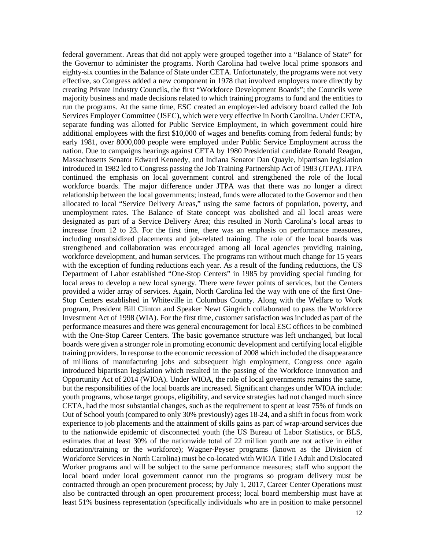federal government. Areas that did not apply were grouped together into a "Balance of State" for the Governor to administer the programs. North Carolina had twelve local prime sponsors and eighty-six counties in the Balance of State under CETA. Unfortunately, the programs were not very effective, so Congress added a new component in 1978 that involved employers more directly by creating Private Industry Councils, the first "Workforce Development Boards"; the Councils were majority business and made decisions related to which training programs to fund and the entities to run the programs. At the same time, ESC created an employer-led advisory board called the Job Services Employer Committee (JSEC), which were very effective in North Carolina. Under CETA, separate funding was allotted for Public Service Employment, in which government could hire additional employees with the first \$10,000 of wages and benefits coming from federal funds; by early 1981, over 8000,000 people were employed under Public Service Employment across the nation. Due to campaigns hearings against CETA by 1980 Presidential candidate Ronald Reagan, Massachusetts Senator Edward Kennedy, and Indiana Senator Dan Quayle, bipartisan legislation introduced in 1982 led to Congress passing the Job Training Partnership Act of 1983 (JTPA). JTPA continued the emphasis on local government control and strengthened the role of the local workforce boards. The major difference under JTPA was that there was no longer a direct relationship between the local governments; instead, funds were allocated to the Governor and then allocated to local "Service Delivery Areas," using the same factors of population, poverty, and unemployment rates. The Balance of State concept was abolished and all local areas were designated as part of a Service Delivery Area; this resulted in North Carolina's local areas to increase from 12 to 23. For the first time, there was an emphasis on performance measures, including unsubsidized placements and job-related training. The role of the local boards was strengthened and collaboration was encouraged among all local agencies providing training, workforce development, and human services. The programs ran without much change for 15 years with the exception of funding reductions each year. As a result of the funding reductions, the US Department of Labor established "One-Stop Centers" in 1985 by providing special funding for local areas to develop a new local synergy. There were fewer points of services, but the Centers provided a wider array of services. Again, North Carolina led the way with one of the first One-Stop Centers established in Whiteville in Columbus County. Along with the Welfare to Work program, President Bill Clinton and Speaker Newt Gingrich collaborated to pass the Workforce Investment Act of 1998 (WIA). For the first time, customer satisfaction was included as part of the performance measures and there was general encouragement for local ESC offices to be combined with the One-Stop Career Centers. The basic governance structure was left unchanged, but local boards were given a stronger role in promoting economic development and certifying local eligible training providers. In response to the economic recession of 2008 which included the disappearance of millions of manufacturing jobs and subsequent high employment, Congress once again introduced bipartisan legislation which resulted in the passing of the Workforce Innovation and Opportunity Act of 2014 (WIOA). Under WIOA, the role of local governments remains the same, but the responsibilities of the local boards are increased. Significant changes under WIOA include: youth programs, whose target groups, eligibility, and service strategies had not changed much since CETA, had the most substantial changes, such as the requirement to spent at least 75% of funds on Out of School youth (compared to only 30% previously) ages 18-24, and a shift in focus from work experience to job placements and the attainment of skills gains as part of wrap-around services due to the nationwide epidemic of disconnected youth (the US Bureau of Labor Statistics, or BLS, estimates that at least 30% of the nationwide total of 22 million youth are not active in either education/training or the workforce); Wagner-Peyser programs (known as the Division of Workforce Services in North Carolina) must be co-located with WIOA Title I Adult and Dislocated Worker programs and will be subject to the same performance measures; staff who support the local board under local government cannot run the programs so program delivery must be contracted through an open procurement process; by July 1, 2017, Career Center Operations must also be contracted through an open procurement process; local board membership must have at least 51% business representation (specifically individuals who are in position to make personnel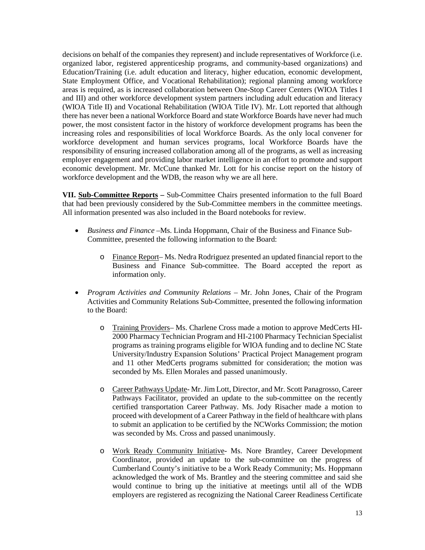decisions on behalf of the companies they represent) and include representatives of Workforce (i.e. organized labor, registered apprenticeship programs, and community-based organizations) and Education/Training (i.e. adult education and literacy, higher education, economic development, State Employment Office, and Vocational Rehabilitation); regional planning among workforce areas is required, as is increased collaboration between One-Stop Career Centers (WIOA Titles I and III) and other workforce development system partners including adult education and literacy (WIOA Title II) and Vocational Rehabilitation (WIOA Title IV). Mr. Lott reported that although there has never been a national Workforce Board and state Workforce Boards have never had much power, the most consistent factor in the history of workforce development programs has been the increasing roles and responsibilities of local Workforce Boards. As the only local convener for workforce development and human services programs, local Workforce Boards have the responsibility of ensuring increased collaboration among all of the programs, as well as increasing employer engagement and providing labor market intelligence in an effort to promote and support economic development. Mr. McCune thanked Mr. Lott for his concise report on the history of workforce development and the WDB, the reason why we are all here.

**VII. Sub-Committee Reports –** Sub-Committee Chairs presented information to the full Board that had been previously considered by the Sub-Committee members in the committee meetings. All information presented was also included in the Board notebooks for review.

- *Business and Finance –*Ms. Linda Hoppmann, Chair of the Business and Finance Sub-Committee, presented the following information to the Board:
	- o Finance Report– Ms. Nedra Rodriguez presented an updated financial report to the Business and Finance Sub-committee. The Board accepted the report as information only.
- *Program Activities and Community Relations –* Mr. John Jones, Chair of the Program Activities and Community Relations Sub-Committee, presented the following information to the Board:
	- o Training Providers– Ms. Charlene Cross made a motion to approve MedCerts HI-2000 Pharmacy Technician Program and HI-2100 Pharmacy Technician Specialist programs as training programs eligible for WIOA funding and to decline NC State University/Industry Expansion Solutions' Practical Project Management program and 11 other MedCerts programs submitted for consideration; the motion was seconded by Ms. Ellen Morales and passed unanimously.
	- o Career Pathways Update- Mr. Jim Lott, Director, and Mr. Scott Panagrosso, Career Pathways Facilitator, provided an update to the sub-committee on the recently certified transportation Career Pathway. Ms. Jody Risacher made a motion to proceed with development of a Career Pathway in the field of healthcare with plans to submit an application to be certified by the NCWorks Commission; the motion was seconded by Ms. Cross and passed unanimously.
	- o Work Ready Community Initiative- Ms. Nore Brantley, Career Development Coordinator, provided an update to the sub-committee on the progress of Cumberland County's initiative to be a Work Ready Community; Ms. Hoppmann acknowledged the work of Ms. Brantley and the steering committee and said she would continue to bring up the initiative at meetings until all of the WDB employers are registered as recognizing the National Career Readiness Certificate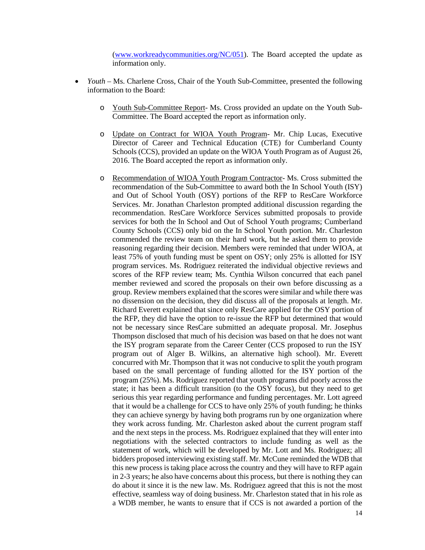[\(www.workreadycommunities.org/NC/051\)](http://www.workreadycommunities.org/NC/051). The Board accepted the update as information only.

- *Youth* Ms. Charlene Cross, Chair of the Youth Sub-Committee, presented the following information to the Board:
	- o Youth Sub-Committee Report- Ms. Cross provided an update on the Youth Sub-Committee. The Board accepted the report as information only.
	- o Update on Contract for WIOA Youth Program- Mr. Chip Lucas, Executive Director of Career and Technical Education (CTE) for Cumberland County Schools (CCS), provided an update on the WIOA Youth Program as of August 26, 2016. The Board accepted the report as information only.
	- o Recommendation of WIOA Youth Program Contractor- Ms. Cross submitted the recommendation of the Sub-Committee to award both the In School Youth (ISY) and Out of School Youth (OSY) portions of the RFP to ResCare Workforce Services. Mr. Jonathan Charleston prompted additional discussion regarding the recommendation. ResCare Workforce Services submitted proposals to provide services for both the In School and Out of School Youth programs; Cumberland County Schools (CCS) only bid on the In School Youth portion. Mr. Charleston commended the review team on their hard work, but he asked them to provide reasoning regarding their decision. Members were reminded that under WIOA, at least 75% of youth funding must be spent on OSY; only 25% is allotted for ISY program services. Ms. Rodriguez reiterated the individual objective reviews and scores of the RFP review team; Ms. Cynthia Wilson concurred that each panel member reviewed and scored the proposals on their own before discussing as a group. Review members explained that the scores were similar and while there was no dissension on the decision, they did discuss all of the proposals at length. Mr. Richard Everett explained that since only ResCare applied for the OSY portion of the RFP, they did have the option to re-issue the RFP but determined that would not be necessary since ResCare submitted an adequate proposal. Mr. Josephus Thompson disclosed that much of his decision was based on that he does not want the ISY program separate from the Career Center (CCS proposed to run the ISY program out of Alger B. Wilkins, an alternative high school). Mr. Everett concurred with Mr. Thompson that it was not conducive to split the youth program based on the small percentage of funding allotted for the ISY portion of the program (25%). Ms. Rodriguez reported that youth programs did poorly across the state; it has been a difficult transition (to the OSY focus), but they need to get serious this year regarding performance and funding percentages. Mr. Lott agreed that it would be a challenge for CCS to have only 25% of youth funding; he thinks they can achieve synergy by having both programs run by one organization where they work across funding. Mr. Charleston asked about the current program staff and the next steps in the process. Ms. Rodriguez explained that they will enter into negotiations with the selected contractors to include funding as well as the statement of work, which will be developed by Mr. Lott and Ms. Rodriguez; all bidders proposed interviewing existing staff. Mr. McCune reminded the WDB that this new process is taking place across the country and they will have to RFP again in 2-3 years; he also have concerns about this process, but there is nothing they can do about it since it is the new law. Ms. Rodriguez agreed that this is not the most effective, seamless way of doing business. Mr. Charleston stated that in his role as a WDB member, he wants to ensure that if CCS is not awarded a portion of the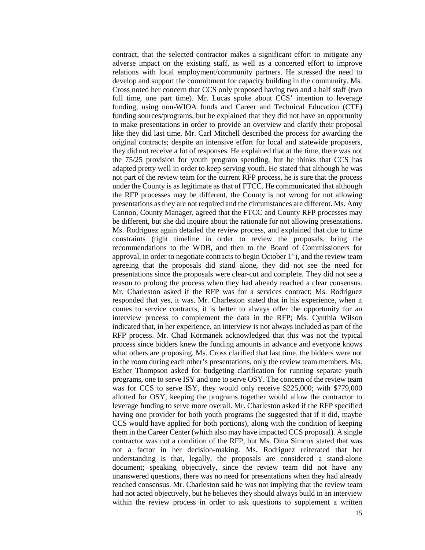contract, that the selected contractor makes a significant effort to mitigate any adverse impact on the existing staff, as well as a concerted effort to improve relations with local employment/community partners. He stressed the need to develop and support the commitment for capacity building in the community. Ms. Cross noted her concern that CCS only proposed having two and a half staff (two full time, one part time). Mr. Lucas spoke about CCS' intention to leverage funding, using non-WIOA funds and Career and Technical Education (CTE) funding sources/programs, but he explained that they did not have an opportunity to make presentations in order to provide an overview and clarify their proposal like they did last time. Mr. Carl Mitchell described the process for awarding the original contracts; despite an intensive effort for local and statewide proposers, they did not receive a lot of responses. He explained that at the time, there was not the 75/25 provision for youth program spending, but he thinks that CCS has adapted pretty well in order to keep serving youth. He stated that although he was not part of the review team for the current RFP process, he is sure that the process under the County is as legitimate as that of FTCC. He communicated that although the RFP processes may be different, the County is not wrong for not allowing presentations as they are not required and the circumstances are different. Ms. Amy Cannon, County Manager, agreed that the FTCC and County RFP processes may be different, but she did inquire about the rationale for not allowing presentations. Ms. Rodriguez again detailed the review process, and explained that due to time constraints (tight timeline in order to review the proposals, bring the recommendations to the WDB, and then to the Board of Commissioners for approval, in order to negotiate contracts to begin October  $1<sup>st</sup>$ ), and the review team agreeing that the proposals did stand alone, they did not see the need for presentations since the proposals were clear-cut and complete. They did not see a reason to prolong the process when they had already reached a clear consensus. Mr. Charleston asked if the RFP was for a services contract; Ms. Rodriguez responded that yes, it was. Mr. Charleston stated that in his experience, when it comes to service contracts, it is better to always offer the opportunity for an interview process to complement the data in the RFP; Ms. Cynthia Wilson indicated that, in her experience, an interview is not always included as part of the RFP process. Mr. Chad Kormanek acknowledged that this was not the typical process since bidders knew the funding amounts in advance and everyone knows what others are proposing. Ms. Cross clarified that last time, the bidders were not in the room during each other's presentations, only the review team members. Ms. Esther Thompson asked for budgeting clarification for running separate youth programs, one to serve ISY and one to serve OSY. The concern of the review team was for CCS to serve ISY, they would only receive \$225,000; with \$779,000 allotted for OSY, keeping the programs together would allow the contractor to leverage funding to serve more overall. Mr. Charleston asked if the RFP specified having one provider for both youth programs (he suggested that if it did, maybe CCS would have applied for both portions), along with the condition of keeping them in the Career Center (which also may have impacted CCS proposal). A single contractor was not a condition of the RFP, but Ms. Dina Simcox stated that was not a factor in her decision-making. Ms. Rodriguez reiterated that her understanding is that, legally, the proposals are considered a stand-alone document; speaking objectively, since the review team did not have any unanswered questions, there was no need for presentations when they had already reached consensus. Mr. Charleston said he was not implying that the review team had not acted objectively, but he believes they should always build in an interview within the review process in order to ask questions to supplement a written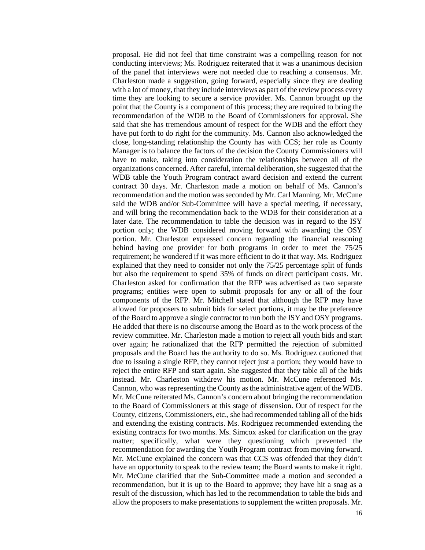proposal. He did not feel that time constraint was a compelling reason for not conducting interviews; Ms. Rodriguez reiterated that it was a unanimous decision of the panel that interviews were not needed due to reaching a consensus. Mr. Charleston made a suggestion, going forward, especially since they are dealing with a lot of money, that they include interviews as part of the review process every time they are looking to secure a service provider. Ms. Cannon brought up the point that the County is a component of this process; they are required to bring the recommendation of the WDB to the Board of Commissioners for approval. She said that she has tremendous amount of respect for the WDB and the effort they have put forth to do right for the community. Ms. Cannon also acknowledged the close, long-standing relationship the County has with CCS; her role as County Manager is to balance the factors of the decision the County Commissioners will have to make, taking into consideration the relationships between all of the organizations concerned. After careful, internal deliberation, she suggested that the WDB table the Youth Program contract award decision and extend the current contract 30 days. Mr. Charleston made a motion on behalf of Ms. Cannon's recommendation and the motion was seconded by Mr. Carl Manning. Mr. McCune said the WDB and/or Sub-Committee will have a special meeting, if necessary, and will bring the recommendation back to the WDB for their consideration at a later date. The recommendation to table the decision was in regard to the ISY portion only; the WDB considered moving forward with awarding the OSY portion. Mr. Charleston expressed concern regarding the financial reasoning behind having one provider for both programs in order to meet the 75/25 requirement; he wondered if it was more efficient to do it that way. Ms. Rodriguez explained that they need to consider not only the 75/25 percentage split of funds but also the requirement to spend 35% of funds on direct participant costs. Mr. Charleston asked for confirmation that the RFP was advertised as two separate programs; entities were open to submit proposals for any or all of the four components of the RFP. Mr. Mitchell stated that although the RFP may have allowed for proposers to submit bids for select portions, it may be the preference of the Board to approve a single contractor to run both the ISY and OSY programs. He added that there is no discourse among the Board as to the work process of the review committee. Mr. Charleston made a motion to reject all youth bids and start over again; he rationalized that the RFP permitted the rejection of submitted proposals and the Board has the authority to do so. Ms. Rodriguez cautioned that due to issuing a single RFP, they cannot reject just a portion; they would have to reject the entire RFP and start again. She suggested that they table all of the bids instead. Mr. Charleston withdrew his motion. Mr. McCune referenced Ms. Cannon, who was representing the County as the administrative agent of the WDB. Mr. McCune reiterated Ms. Cannon's concern about bringing the recommendation to the Board of Commissioners at this stage of dissension. Out of respect for the County, citizens, Commissioners, etc., she had recommended tabling all of the bids and extending the existing contracts. Ms. Rodriguez recommended extending the existing contracts for two months. Ms. Simcox asked for clarification on the gray matter; specifically, what were they questioning which prevented the recommendation for awarding the Youth Program contract from moving forward. Mr. McCune explained the concern was that CCS was offended that they didn't have an opportunity to speak to the review team; the Board wants to make it right. Mr. McCune clarified that the Sub-Committee made a motion and seconded a recommendation, but it is up to the Board to approve; they have hit a snag as a result of the discussion, which has led to the recommendation to table the bids and allow the proposers to make presentations to supplement the written proposals. Mr.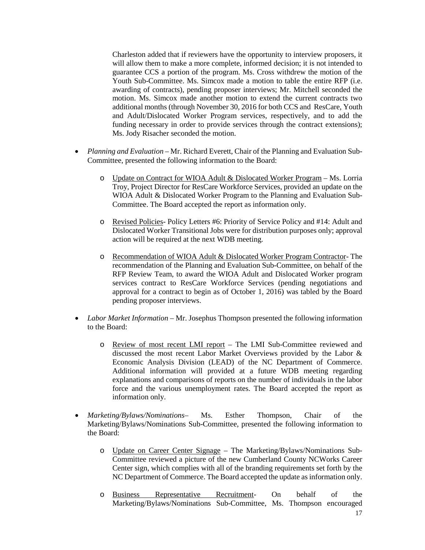Charleston added that if reviewers have the opportunity to interview proposers, it will allow them to make a more complete, informed decision; it is not intended to guarantee CCS a portion of the program. Ms. Cross withdrew the motion of the Youth Sub-Committee. Ms. Simcox made a motion to table the entire RFP (i.e. awarding of contracts), pending proposer interviews; Mr. Mitchell seconded the motion. Ms. Simcox made another motion to extend the current contracts two additional months (through November 30, 2016 for both CCS and ResCare, Youth and Adult/Dislocated Worker Program services, respectively, and to add the funding necessary in order to provide services through the contract extensions); Ms. Jody Risacher seconded the motion.

- *Planning and Evaluation* Mr. Richard Everett, Chair of the Planning and Evaluation Sub-Committee, presented the following information to the Board:
	- o Update on Contract for WIOA Adult & Dislocated Worker Program Ms. Lorria Troy, Project Director for ResCare Workforce Services, provided an update on the WIOA Adult & Dislocated Worker Program to the Planning and Evaluation Sub-Committee. The Board accepted the report as information only.
	- o Revised Policies- Policy Letters #6: Priority of Service Policy and #14: Adult and Dislocated Worker Transitional Jobs were for distribution purposes only; approval action will be required at the next WDB meeting.
	- o Recommendation of WIOA Adult & Dislocated Worker Program Contractor- The recommendation of the Planning and Evaluation Sub-Committee, on behalf of the RFP Review Team, to award the WIOA Adult and Dislocated Worker program services contract to ResCare Workforce Services (pending negotiations and approval for a contract to begin as of October 1, 2016) was tabled by the Board pending proposer interviews.
- *Labor Market Information* Mr. Josephus Thompson presented the following information to the Board:
	- o Review of most recent LMI report The LMI Sub-Committee reviewed and discussed the most recent Labor Market Overviews provided by the Labor & Economic Analysis Division (LEAD) of the NC Department of Commerce. Additional information will provided at a future WDB meeting regarding explanations and comparisons of reports on the number of individuals in the labor force and the various unemployment rates. The Board accepted the report as information only.
- *Marketing/Bylaws/Nominations–* Ms. Esther Thompson, Chair of the Marketing/Bylaws/Nominations Sub-Committee, presented the following information to the Board:
	- o Update on Career Center Signage The Marketing/Bylaws/Nominations Sub-Committee reviewed a picture of the new Cumberland County NCWorks Career Center sign, which complies with all of the branding requirements set forth by the NC Department of Commerce. The Board accepted the update as information only.
	- o Business Representative Recruitment- On behalf of the Marketing/Bylaws/Nominations Sub-Committee, Ms. Thompson encouraged